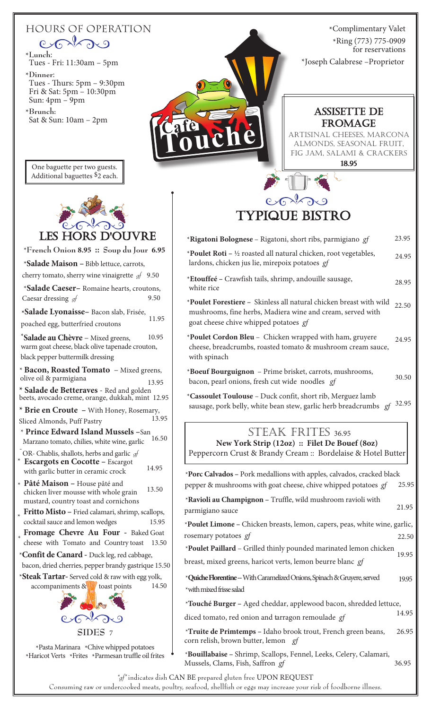## hours of operation  $P \rightarrow P \rightarrow P \rightarrow Q$ \***Lunch**: Tues - Fri: 11:30am – 5pm \***Dinner**: Tues - Thurs: 5pm – 9:30pm Fri & Sat: 5pm – 10:30pm Sun: 4pm – 9pm

\*Complimentary Valet \*Ring (773) 775-0909 for reservations \*Joseph Calabrese –Proprietor



\***Brunch:**

Sat & Sun: 10am – 2pm

## LES HORS D

- \***French Onion 8.95 :: Soup du Jour 6.95**
- \***Salade Maison –** Bibb lettuce, carrots,
- cherry tomato, sherry wine vinaigrette *gf* 9.50 \***Salade Caeser–** Romaine hearts, croutons,
- Caesar dressing *gf* 9.50 **\*Salade Lyonaisse–** Bacon slab, Frisée,
- poached egg, butterfried croutons 11.95

**Salade au Chèvre** – Mixed greens, \* 10.95 warm goat cheese, black olive tapenade crouton, black pepper buttermilk dressing

- \* **Bacon, Roasted Tomato** Mixed greens, olive oil & parmigiana 13.95
- **\* Salade de Betteraves**  Red and golden beets, avocado creme, orange, dukkah, mint 12.95

**\* Brie en Croute –** With Honey, Rosemary, Sliced Almonds, Puff Pastry

- \* **Prince Edward Island Mussels –**San Marzano tomato, chilies, white wine, garlic 16.50
- \* 14.95 OR- Chablis, shallots, herbs and garlic *gf* **Escargots en Cocotte –** Escargot with garlic butter in ceramic crock
- \* Pâté Maison - House pâté and chicken liver mousse with whole grain 13.50 mustard, country toast and cornichons
- **Fritto Misto** Fried calamari, shrimp, scallops, cocktail sauce and lemon wedges 15.95 \*
- \* **Fromage Chevre Au Four -** Baked Goat cheese with Tomato and Country toast 13.50
- \***Confit de Canard -** Duck leg, red cabbage,
- bacon, dried cherries, pepper brandy gastrique 15.50
- \***Steak Tartar-** Served cold & raw with egg yolk, accompaniments  $\&$  toast points 14.50



\*Pasta Marinara \*Chive whipped potatoes \*Haricot Verts \*Frites \*Parmesan truffle oil frites



## assisette de **FROMAGE**

artisinal cheeses, marcona almonds, seasonal fruit, fig jam, salami & crackers

18.95

# typique bistro

| * <b>Rigatoni Bolognese</b> – Rigatoni, short ribs, parmigiano gf                                                                                                         | 23.95 |
|---------------------------------------------------------------------------------------------------------------------------------------------------------------------------|-------|
| *Poulet Roti – $\frac{1}{2}$ roasted all natural chicken, root vegetables,<br>lardons, chicken jus lie, mirepoix potatoes gf                                              | 24.95 |
| *Etouffeé – Crawfish tails, shrimp, andouille sausage,<br>white rice                                                                                                      | 28.95 |
| *Poulet Forestiere - Skinless all natural chicken breast with wild<br>mushrooms, fine herbs, Madiera wine and cream, served with<br>goat cheese chive whipped potatoes gf | 22.50 |
| *Poulet Cordon Bleu - Chicken wrapped with ham, gruyere<br>cheese, breadcrumbs, roasted tomato & mushroom cream sauce,<br>with spinach                                    | 24.95 |
| *Boeuf Bourguignon - Prime brisket, carrots, mushrooms,<br>bacon, pearl onions, fresh cut wide noodles gf                                                                 | 30.50 |
| *Cassoulet Toulouse - Duck confit, short rib, Merguez lamb<br>sausage, pork belly, white bean stew, garlic herb breadcrumbs gf                                            | 32.95 |
| STEAK FRITES 36.95<br>New York Strip (12oz) :: Filet De Bouef (8oz)<br>Peppercorn Crust & Brandy Cream :: Bordelaise & Hotel Butter                                       |       |

25.95 \***Porc Calvados –** Pork medallions with apples, calvados, cracked black pepper & mushrooms with goat cheese, chive whipped potatoes *gf*

- 21.95 \***Ravioli au Champignon –** Truffle, wild mushroom ravioli with parmigiano sauce
- \***Poulet Limone** Chicken breasts, lemon, capers, peas, white wine, garlic, rosemary potatoes *gf* 22.50
- 19.95 \***Poulet Paillard** – Grilled thinly pounded marinated lemon chicken
- breast, mixed greens, haricot verts, lemon beurre blanc *gf*
- 19.95 \***Quiche Florentine --** With Caramelized Onions, Spinach & Gruyere,served \*with mixed frisse salad
- \***Touché Burger** Aged cheddar, applewood bacon, shredded lettuce,
- diced tomato, red onion and tarragon remoulade *gf*
- 26.95 \***Truite de Primtemps –** Idaho brook trout, French green beans, corn relish, brown butter, lemon *gf*

14.95

\***Bouillabaise –** Shrimp, Scallops, Fennel, Leeks, Celery, Calamari, Mussels, Clams, Fish, Saffron *gf* 36.95

*"gf"* indicates dish CAN BE prepared gluten free UPON REQUEST

Consuming raw or undercooked meats, poultry, seafood, shellfish or eggs may increase your risk of foodborne illness.